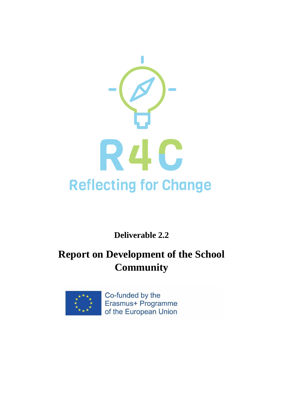

**Deliverable 2.2**

# **Report on Development of the School Community**



Co-funded by the Erasmus+ Programme of the European Union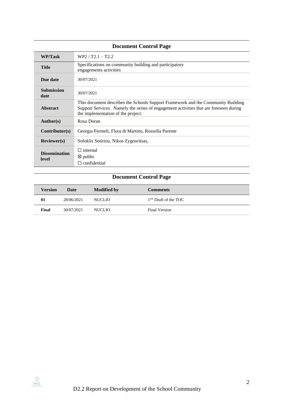# **Document Control Page**

| WP/Task                       | $WP2 / T2.1 - T2.2$                                                                                                                                                                                             |
|-------------------------------|-----------------------------------------------------------------------------------------------------------------------------------------------------------------------------------------------------------------|
| <b>Title</b>                  | Specifications on community building and participatory<br>engagements activities                                                                                                                                |
| Due date                      | 30/07/2021                                                                                                                                                                                                      |
| <b>Submission</b><br>date     | 30/07/2021                                                                                                                                                                                                      |
| Abstract                      | This document describes the Schools Support Framework and the Community Building<br>Support Services. Namely the series of engagement activities that are foreseen during<br>the implementation of the project. |
| Author(s)                     | Rosa Doran                                                                                                                                                                                                      |
| Contributor(s)                | Georgia Fermeli, Flora di Martino, Rossella Parente                                                                                                                                                             |
| Reviewer(s)                   | Sofoklis Sotiriou, Nikos Zygouritsas,                                                                                                                                                                           |
| <b>Dissemination</b><br>level | $\Box$ internal<br>$\boxtimes$ public<br>$\Box$ confidential                                                                                                                                                    |

# **Document Control Page**

| <b>Version</b> | Date       | <b>Modified by</b> | <b>Comments</b>                  |
|----------------|------------|--------------------|----------------------------------|
| 01             | 28/06/2021 | <b>NUCLIO</b>      | 1 <sup>ST</sup> Draft of the TOC |
| Final          | 30/07/2021 | <b>NUCLIO</b>      | Final Version                    |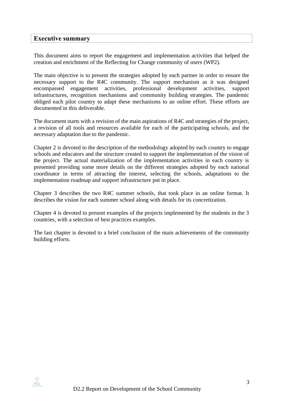<span id="page-2-0"></span>

| <b>Executive summary</b> |  |
|--------------------------|--|
|                          |  |

This document aims to report the engagement and implementation activities that helped the creation and enrichment of the Reflecting for Change community of users (WP2).

The main objective is to present the strategies adopted by each partner in order to ensure the necessary support to the R4C community. The support mechanism as it was designed encompassed engagement activities, professional development activities, support infrastructures, recognition mechanisms and community building strategies. The pandemic obliged each pilot country to adapt these mechanisms to an online effort. These efforts are documented in this deliverable.

The document starts with a revision of the main aspirations of R4C and strategies of the project, a revision of all tools and resources available for each of the participating schools, and the necessary adaptation due to the pandemic.

Chapter 2 is devoted to the description of the methodology adopted by each country to engage schools and educators and the structure created to support the implementation of the vision of the project. The actual materialization of the implementation activities in each country is presented providing some more details on the different strategies adopted by each national coordinator in terms of attracting the interest, selecting the schools, adaptations to the implementation roadmap and support infrastructure put in place.

Chapter 3 describes the two R4C summer schools, that took place in an online format. It describes the vision for each summer school along with details for its concretization.

Chapter 4 is devoted to present examples of the projects implemented by the students in the 3 countries, with a selection of best practices examples.

The last chapter is devoted to a brief conclusion of the main achievements of the community building efforts.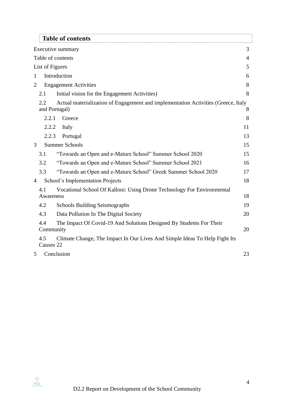<span id="page-3-0"></span>

| <b>Table of contents</b>                                                                                  |                |
|-----------------------------------------------------------------------------------------------------------|----------------|
| Executive summary                                                                                         | 3              |
| Table of contents                                                                                         | $\overline{4}$ |
| List of Figures                                                                                           | 5              |
| Introduction<br>1                                                                                         | 6              |
| $\overline{2}$<br><b>Engagement Activities</b>                                                            | 8              |
| 2.1<br>Initial vision for the Engagement Activities)                                                      | 8              |
| 2.2<br>Actual materialization of Engagement and implementation Activities (Greece, Italy<br>and Portugal) | 8              |
| 2.2.1<br>Greece                                                                                           | 8              |
| 2.2.2<br>Italy                                                                                            | 11             |
| 2.2.3<br>Portugal                                                                                         | 13             |
| <b>Summer Schools</b><br>3                                                                                | 15             |
| 3.1<br>"Towards an Open and e-Mature School" Summer School 2020                                           | 15             |
| 3.2<br>"Towards an Open and e-Mature School" Summer School 2021                                           | 16             |
| 3.3<br>"Towards an Open and e-Mature School" Greek Summer School 2020                                     | 17             |
| School's Implementation Projects<br>$\overline{4}$                                                        | 18             |
| Vocational School Of Kalloni: Using Drone Technology For Environmental<br>4.1                             |                |
| Awareness                                                                                                 | 18             |
| 4.2<br><b>Schools Building Seismographs</b>                                                               | 19             |
| 4.3<br>Data Pollution In The Digital Society                                                              | 20             |
| 4.4<br>The Impact Of Covid-19 And Solutions Designed By Students For Their<br>Community                   | 20             |
| 4.5<br>Climate Change, The Impact In Our Lives And Simple Ideas To Help Fight Its<br>Causes 22            |                |
| Conclusion<br>5                                                                                           | 23             |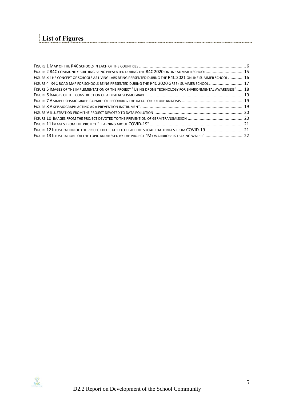<span id="page-4-0"></span>

| List of Figures |
|-----------------|
|-----------------|

| FIGURE 2 R4C COMMUNITY BUILDING BEING PRESENTED DURING THE R4C 2020 ONLINE SUMMER SCHOOL15                   |  |
|--------------------------------------------------------------------------------------------------------------|--|
| FIGURE 3 THE CONCEPT OF SCHOOLS AS LIVING LABS BEING PRESENTED DURING THE R4C 2021 ONLINE SUMMER SCHOOL  16  |  |
| FIGURE 4 R4C ROAD MAP FOR SCHOOLS BEING PRESENTED DURING THE R4C 2020 GREEK SUMMER SCHOOL  17                |  |
| FIGURE 5 IMAGES OF THE IMPLEMENTATION OF THE PROJECT "USING DRONE TECHNOLOGY FOR ENVIRONMENTAL AWARENESS" 18 |  |
|                                                                                                              |  |
|                                                                                                              |  |
|                                                                                                              |  |
|                                                                                                              |  |
|                                                                                                              |  |
|                                                                                                              |  |
|                                                                                                              |  |
| FIGURE 13 ILLUSTRATION FOR THE TOPIC ADDRESSED BY THE PROJECT "MY WARDROBE IS LEAKING WATER"  22             |  |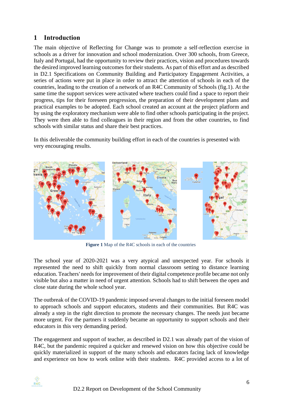# <span id="page-5-0"></span>**1 Introduction**

The main objective of Reflecting for Change was to promote a self-reflection exercise in schools as a driver for innovation and school modernization. Over 300 schools, from Greece, Italy and Portugal, had the opportunity to review their practices, vision and procedures towards the desired improved learning outcomes for their students. As part of this effort and as described in D2.1 Specifications on Community Building and Participatory Engagement Activities, a series of actions were put in place in order to attract the attention of schools in each of the countries, leading to the creation of a network of an R4C Community of Schools (fig.1). At the same time the support services were activated where teachers could find a space to report their progress, tips for their foreseen progression, the preparation of their development plans and practical examples to be adopted. Each school created an account at the project platform and by using the exploratory mechanism were able to find other schools participating in the project. They were then able to find colleagues in their region and from the other countries, to find schools with similar status and share their best practices.

In this deliverable the community building effort in each of the countries is presented with very encouraging results.



**Figure 1** Map of the R4C schools in each of the countries

The school year of 2020-2021 was a very atypical and unexpected year. For schools it represented the need to shift quickly from normal classroom setting to distance learning education. Teachers' needs for improvement of their digital competence profile became not only visible but also a matter in need of urgent attention. Schools had to shift between the open and close state during the whole school year.

The outbreak of the COVID-19 pandemic imposed several changes to the initial foreseen model to approach schools and support educators, students and their communities. But R4C was already a step in the right direction to promote the necessary changes. The needs just became more urgent. For the partners it suddenly became an opportunity to support schools and their educators in this very demanding period.

The engagement and support of teacher, as described in D2.1 was already part of the vision of R4C, but the pandemic required a quicker and renewed vision on how this objective could be quickly materialized in support of the many schools and educators facing lack of knowledge and experience on how to work online with their students. R4C provided access to a lot of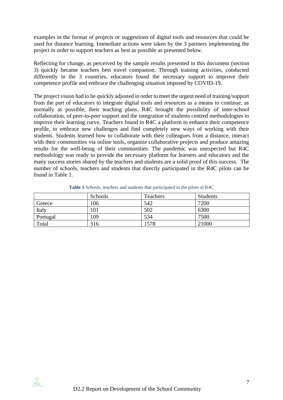examples in the format of projects or suggestions of digital tools and resources that could be used for distance learning. Immediate actions were taken by the 3 partners implementing the project in order to support teachers as best as possible as presented below.

Reflecting for change, as perceived by the sample results presented in this document (section 3) quickly became teachers best travel companion. Through training activities, conducted differently in the 3 countries, educators found the necessary support to improve their competence profile and embrace the challenging situation imposed by COVID-19.

The project vision had to be quickly adjusted in order to meet the urgent need of training/support from the part of educators to integrate digital tools and resources as a means to continue, as normally as possible, their teaching plans. R4C brought the possibility of inter-school collaboration, of peer-to-peer support and the integration of students centred methodologies to improve their learning curve. Teachers found in R4C a platform to enhance their competence profile, to embrace new challenges and find completely new ways of working with their students. Students learned how to collaborate with their colleagues from a distance, interact with their communities via online tools, organize collaborative projects and produce amazing results for the well-being of their communities. The pandemic was unexpected but R4C methodology was ready to provide the necessary platform for learners and educators and the many success stories shared by the teachers and students are a solid proof of this success. The number of schools, teachers and students that directly participated in the R4C pilots can be found in Table 1.

|          | Schools | Teachers | <b>Students</b> |
|----------|---------|----------|-----------------|
| Greece   | 106     | 542      | 7200            |
| Italy    | 101     | 502      | 6300            |
| Portugal | '09     | 534      | 7500            |
| Total    | 316     | 1578     | 21000           |

**Table 1** Schools, teachers and students that participated in the pilots of R4C

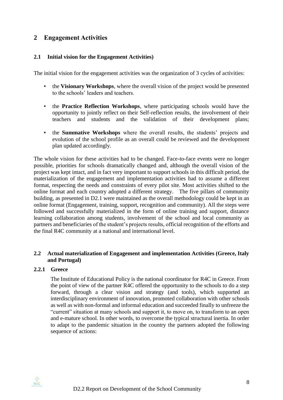## <span id="page-7-0"></span>**2 Engagement Activities**

#### <span id="page-7-1"></span>**2.1 Initial vision for the Engagement Activities)**

The initial vision for the engagement activities was the organization of 3 cycles of activities:

- the **Visionary Workshops**, where the overall vision of the project would be presented to the schools' leaders and teachers.
- the **Practice Reflection Workshops**, where participating schools would have the opportunity to jointly reflect on their Self-reflection results, the involvement of their teachers and students and the validation of their development plans;
- the **Summative Workshops** where the overall results, the students' projects and evolution of the school profile as an overall could be reviewed and the development plan updated accordingly.

The whole vision for these activities had to be changed. Face-to-face events were no longer possible, priorities for schools dramatically changed and, although the overall vision of the project was kept intact, and in fact very important to support schools in this difficult period, the materialization of the engagement and implementation activities had to assume a different format, respecting the needs and constraints of every pilot site. Most activities shifted to the online format and each country adopted a different strategy. The five pillars of community building, as presented in D2.1 were maintained as the overall methodology could be kept in an online format (Engagement, training, support, recognition and community). All the steps were followed and successfully materialized in the form of online training and support, distance learning collaboration among students, involvement of the school and local community as partners and beneficiaries of the student's projects results, official recognition of the efforts and the final R4C community at a national and international level.

#### <span id="page-7-2"></span>**2.2 Actual materialization of Engagement and implementation Activities (Greece, Italy and Portugal)**

#### <span id="page-7-3"></span>**2.2.1 Greece**

The Institute of Educational Policy is the national coordinator for R4C in Greece. From the point of view of the partner R4C offered the opportunity to the schools to do a step forward, through a clear vision and strategy (and tools), which supported an interdisciplinary environment of innovation, promoted collaboration with other schools as well as with non-formal and informal education and succeeded finally to unfreeze the "current" situation at many schools and support it, to move on, to transform to an open and e-mature school. In other words, to overcome the typical structural inertia. In order to adapt to the pandemic situation in the country the partners adopted the following sequence of actions:

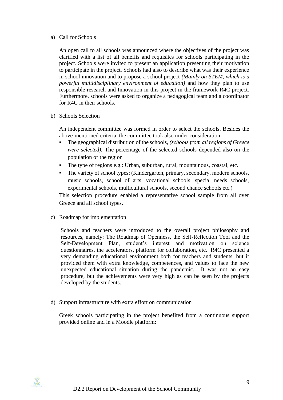#### a) Call for Schools

An open call to all schools was announced where the objectives of the project was clarified with a list of all benefits and requisites for schools participating in the project. Schools were invited to present an application presenting their motivation to participate in the project. Schools had also to describe what was their experience in school innovation and to propose a school project *(Mainly on STEM, which is a powerful multidisciplinary environment of education)* and how they plan to use responsible research and Innovation in this project in the framework R4C project. Furthermore, schools were asked to organize a pedagogical team and a coordinator for R4C in their schools.

b) Schools Selection

An independent committee was formed in order to select the schools. Besides the above-mentioned criteria, the committee took also under consideration:

- The geographical distribution of the schools, *(schools from all regions of Greece were selected).* The percentage of the selected schools depended also on the population of the region
- The type of regions e.g.: Urban, suburban, rural, mountainous, coastal, etc.
- The variety of school types: (Kindergarten, primary, secondary, modern schools, music schools, school of arts, vocational schools, special needs schools, experimental schools, multicultural schools, second chance schools etc.)

This selection procedure enabled a representative school sample from all over Greece and all school types.

c) Roadmap for implementation

Schools and teachers were introduced to the overall project philosophy and resources, namely: The Roadmap of Openness, the Self-Reflection Tool and the Self-Development Plan, student's interest and motivation on science questionnaires, the accelerators, platform for collaboration, etc. R4C presented a very demanding educational environment both for teachers and students, but it provided them with extra knowledge, competences, and values to face the new unexpected educational situation during the pandemic. It was not an easy procedure, but the achievements were very high as can be seen by the projects developed by the students.

d) Support infrastructure with extra effort on communication

Greek schools participating in the project benefited from a continuous support provided online and in a Moodle platform: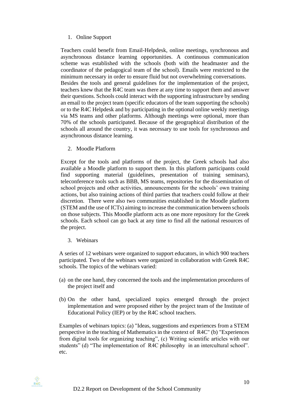#### 1. Online Support

Teachers could benefit from Email-Helpdesk, online meetings, synchronous and asynchronous distance learning opportunities. A continuous communication scheme was established with the schools (both with the headmaster and the coordinator of the pedagogical team of the school). Emails were restricted to the minimum necessary in order to ensure fluid but not overwhelming conversations. Besides the tools and general guidelines for the implementation of the project, teachers knew that the R4C team was there at any time to support them and answer their questions. Schools could interact with the supporting infrastructure by sending an email to the project team (specific educators of the team supporting the schools) or to the R4C Helpdesk and by participating in the optional online weekly meetings via MS teams and other platforms. Although meetings were optional, more than 70% of the schools participated. Because of the geographical distribution of the schools all around the country, it was necessary to use tools for synchronous and asynchronous distance learning.

2. Moodle Platform

Except for the tools and platforms of the project, the Greek schools had also available a Moodle platform to support them. In this platform participants could find supporting material (guidelines, presentation of training seminars), teleconference tools such as BBB, MS teams, repositories for the dissemination of school projects and other activities, announcements for the schools' own training actions, but also training actions of third parties that teachers could follow at their discretion. There were also two communities established in the Moodle platform (STEM and the use of ICTs) aiming to increase the communication between schools on those subjects. This Moodle platform acts as one more repository for the Greek schools. Each school can go back at any time to find all the national resources of the project.

3. Webinars

A series of 12 webinars were organized to support educators, in which 900 teachers participated. Two of the webinars were organized in collaboration with Greek R4C schools. The topics of the webinars varied:

- (a) on the one hand, they concerned the tools and the implementation procedures of the project itself and
- (b) On the other hand, specialized topics emerged through the project implementation and were proposed either by the project team of the Institute of Educational Policy (IEP) or by the R4C school teachers.

Examples of webinars topics: (a) "Ideas, suggestions and experiences from a STEM perspective in the teaching of Mathematics in the context of R4C" (b) "Experiences from digital tools for organizing teaching", (c) Writing scientific articles with our students" (d) "The implementation of R4C philosophy in an intercultural school". etc.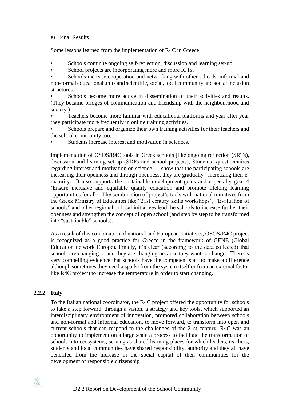#### e) Final Results

Some lessons learned from the implementation of R4C in Greece:

- Schools continue ongoing self-reflection, discussion and learning set-up.
- School projects are incorporating more and more ICTs.

Schools increase cooperation and networking with other schools, informal and non-formal educational units and scientific, social, local community and social inclusion structures.

• Schools become more active in dissemination of their activities and results. (They became bridges of communication and friendship with the neighbourhood and society.)

• Teachers become more familiar with educational platforms and year after year they participate more frequently in online training activities.

Schools prepare and organize their own training activities for their teachers and the school community too.

Students increase interest and motivation in sciences.

Implementation of OSOS/R4C tools in Greek schools [like ongoing reflection (SRTs), discussion and learning set-up (SDPs and school projects), Students' questionnaires regarding interest and motivation on science....] show that the participating schools are increasing their openness and through openness, they are gradually increasing their ematurity. It also supports the sustainable development goals and especially goal 4 (Ensure inclusive and equitable quality education and promote lifelong learning opportunities for all). The combination of project's tools with national initiatives from the Greek Ministry of Education like "21st century skills workshops", "Evaluation of schools" and other regional or local initiatives lead the schools to increase further their openness and strengthen the concept of open school (and step by step to be transformed into "sustainable" schools).

As a result of this combination of national and European initiatives, OSOS/R4C project is recognized as a good practice for Greece in the framework of GENE (Global Education network Europe). Finally, it's clear (according to the data collected) that schools are changing ... and they are changing because they want to change. There is very compelling evidence that schools have the competent staff to make a difference although sometimes they need a spark (from the system itself or from an external factor like R4C project) to increase the temperature in order to start changing.

#### <span id="page-10-0"></span>**2.2.2 Italy**

To the Italian national coordinator, the R4C project offered the opportunity for schools to take a step forward, through a vision, a strategy and key tools, which supported an interdisciplinary environment of innovation, promoted collaboration between schools and non-formal and informal education, to move forward, to transform into open and current schools that can respond to the challenges of the 21st century. R4C was an opportunity to implement on a large scale a process to facilitate the transformation of schools into ecosystems, serving as shared learning places for which leaders, teachers, students and local communities have shared responsibility, authority and they all have benefited from the increase in the social capital of their communities for the development of responsible citizenship

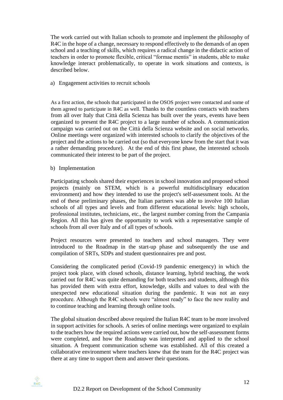The work carried out with Italian schools to promote and implement the philosophy of R4C in the hope of a change, necessary to respond effectively to the demands of an open school and a teaching of skills, which requires a radical change in the didactic action of teachers in order to promote flexible, critical "formae mentis" in students, able to make knowledge interact problematically, to operate in work situations and contexts, is described below.

#### a) Engagement activities to recruit schools

As a first action, the schools that participated in the OSOS project were contacted and some of them agreed to participate in R4C as well. Thanks to the countless contacts with teachers from all over Italy that Città della Scienza has built over the years, events have been organized to present the R4C project to a large number of schools. A communication campaign was carried out on the Città della Scienza website and on social networks. Online meetings were organized with interested schools to clarify the objectives of the project and the actions to be carried out (so that everyone knew from the start that it was a rather demanding procedure). At the end of this first phase, the interested schools communicated their interest to be part of the project.

b) Implementation

Participating schools shared their experiences in school innovation and proposed school projects (mainly on STEM, which is a powerful multidisciplinary education environment) and how they intended to use the project's self-assessment tools. At the end of these preliminary phases, the Italian partners was able to involve 100 Italian schools of all types and levels and from different educational levels: high schools, professional institutes, technicians, etc., the largest number coming from the Campania Region. All this has given the opportunity to work with a representative sample of schools from all over Italy and of all types of schools.

Project resources were presented to teachers and school managers. They were introduced to the Roadmap in the start-up phase and subsequently the use and compilation of SRTs, SDPs and student questionnaires pre and post.

Considering the complicated period (Covid-19 pandemic emergency) in which the project took place, with closed schools, distance learning, hybrid teaching, the work carried out for R4C was quite demanding for both teachers and students, although this has provided them with extra effort, knowledge, skills and values to deal with the unexpected new educational situation during the pandemic. It was not an easy procedure. Although the R4C schools were "almost ready" to face the new reality and to continue teaching and learning through online tools.

The global situation described above required the Italian R4C team to be more involved in support activities for schools. A series of online meetings were organized to explain to the teachers how the required actions were carried out, how the self-assessment forms were completed, and how the Roadmap was interpreted and applied to the school situation. A frequent communication scheme was established. All of this created a collaborative environment where teachers knew that the team for the R4C project was there at any time to support them and answer their questions.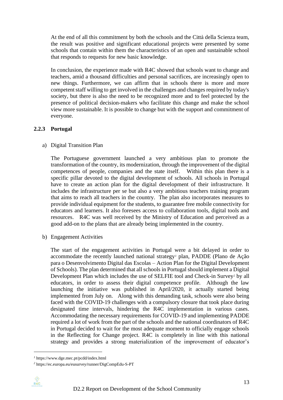At the end of all this commitment by both the schools and the Città della Scienza team, the result was positive and significant educational projects were presented by some schools that contain within them the characteristics of an open and sustainable school that responds to requests for new basic knowledge.

In conclusion, the experience made with R4C showed that schools want to change and teachers, amid a thousand difficulties and personal sacrifices, are increasingly open to new things. Furthermore, we can affirm that in schools there is more and more competent staff willing to get involved in the challenges and changes required by today's society, but there is also the need to be recognized more and to feel protected by the presence of political decision-makers who facilitate this change and make the school view more sustainable. It is possible to change but with the support and commitment of everyone.

#### <span id="page-12-0"></span>**2.2.3 Portugal**

a) Digital Transition Plan

The Portuguese government launched a very ambitious plan to promote the transformation of the country, its modernization, through the improvement of the digital competences of people, companies and the state itself. Within this plan there is a specific pillar devoted to the digital development of schools. All schools in Portugal have to create an action plan for the digital development of their infrastructure. It includes the infrastructure per se but also a very ambitious teachers training program that aims to reach all teachers in the country. The plan also incorporates measures to provide individual equipment for the students, to guarantee free mobile connectivity for educators and learners. It also foresees access to collaboration tools, digital tools and resources. R4C was well received by the Ministry of Education and perceived as a good add-on to the plans that are already being implemented in the country.

b) Engagement Activities

The start of the engagement activities in Portugal were a bit delayed in order to accommodate the recently launched national strategy*<sup>1</sup>* plan, PADDE (Plano de Ação para o Desenvolvimento Digital das Escolas – Action Plan for the Digital Development of Schools). The plan determined that all schools in Portugal should implement a Digital Development Plan which includes the use of SELFIE tool and Check-in Survey*<sup>2</sup>* by all educators, in order to assess their digital competence profile. Although the law launching the initiative was published in April/2020, it actually started being implemented from July on. Along with this demanding task, schools were also being faced with the COVID-19 challenges with a compulsory closure that took place during designated time intervals, hindering the R4C implementation in various cases. Accommodating the necessary requirements for COVID-19 and implementing PADDE required a lot of work from the part of the schools and the national coordinators of R4C in Portugal decided to wait for the most adequate moment to officially engage schools in the Reflecting for Change project. R4C is completely in line with this national strategy and provides a strong materialization of the improvement of educator's

*<sup>2</sup>* https://ec.europa.eu/eusurvey/runner/DigCompEdu-S-PT



*<sup>1</sup>* https://www.dge.mec.pt/pcdd/index.html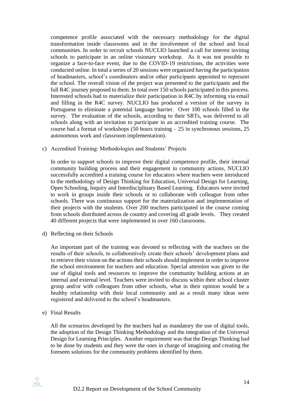competence profile associated with the necessary methodology for the digital transformation inside classrooms and in the involvement of the school and local communities. In order to recruit schools NUCLIO launched a call for interest inviting schools to participate in an online visionary workshop. As it was not possible to organize a face-to-face event, due to the COVID-19 restrictions, the activities were conducted online. In total a series of 20 sessions were organized having the participation of headmasters, school's coordinators and/or other participants appointed to represent the school. The overall vision of the project was presented to the participants and the full R4C journey proposed to them. In total over 150 schools participated in this process. Interested schools had to materialize their participation in R4C by informing via email and filling in the R4C survey. NUCLIO has produced a version of the survey in Portuguese to eliminate a potential language barrier. Over 100 schools filled in the survey. The evaluation of the schools, according to their SRTs, was delivered to all schools along with an invitation to participate in an accredited training course. The course had a format of workshops  $(50 \text{ hours training} - 25 \text{ in synchronous sessions}, 25)$ autonomous work and classroom implementation).

c) Accredited Training: Methodologies and Students' Projects

In order to support schools to improve their digital competence profile, their internal community building process and their engagement in community actions, NUCLIO successfully accredited a training course for educators where teachers were introduced to the methodology of Design Thinking for Education, Universal Design for Learning, Open Schooling, Inquiry and Interdisciplinary Based Learning. Educators were invited to work in groups inside their schools or to collaborate with colleague from other schools. There was continuous support for the materialization and implementation of their projects with the students. Over 200 teachers participated in the course coming from schools distributed across de country and covering all grade levels. They created 40 different projects that were implemented in over 160 classrooms.

d) Reflecting on their Schools

An important part of the training was devoted to reflecting with the teachers on the results of their schools, to collaboratively create their schools' development plans and to retrieve their vision on the actions their schools should implement in order to improve the school environment for teachers and education. Special attention was given to the use of digital tools and resources to improve the community building actions at an internal and external level. Teachers were invited to discuss within their school cluster group and/or with colleagues from other schools, what in their opinion would be a healthy relationship with their local community and as a result many ideas were registered and delivered to the school's headmasters.

e) Final Results

All the scenarios developed by the teachers had as mandatory the use of digital tools, the adoption of the Design Thinking Methodology and the integration of the Universal Design for Learning Principles. Another requirement was that the Design Thinking had to be done by students and they were the ones in charge of imagining and creating the foreseen solutions for the community problems identified by them.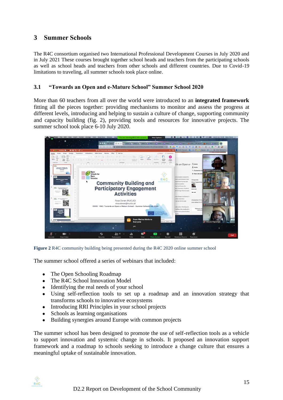# <span id="page-14-0"></span>**3 Summer Schools**

The R4C consortium organised two International Professional Development Courses in July 2020 and in July 2021 These courses brought together school heads and teachers from the participating schools as well as school heads and teachers from other schools and different countries. Due to Covid-19 limitations to traveling, all summer schools took place online.

#### <span id="page-14-1"></span>**3.1 "Towards an Open and e-Mature School" Summer School 2020**

More than 60 teachers from all over the world were introduced to an **integrated framework** fitting all the pieces together: providing mechanisms to monitor and assess the progress at different levels, introducing and helping to sustain a culture of change, supporting community and capacity building (fig. 2), providing tools and resources for innovative projects. The summer school took place 6-10 July 2020.



**Figure 2** R4C community building being presented during the R4C 2020 online summer school

<span id="page-14-2"></span>The summer school offered a series of webinars that included:

- The Open Schooling Roadmap
- The R4C School Innovation Model
- Identifying the real needs of your school
- Using self-reflection tools to set up a roadmap and an innovation strategy that transforms schools to innovative ecosystems
- Introducing RRI Principles in your school projects
- Schools as learning organisations
- Building synergies around Europe with common projects

The summer school has been designed to promote the use of self-reflection tools as a vehicle to support innovation and systemic change in schools. It proposed an innovation support framework and a roadmap to schools seeking to introduce a change culture that ensures a meaningful uptake of sustainable innovation.

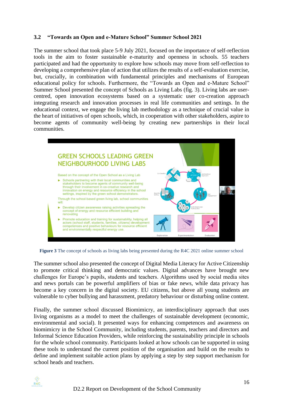#### <span id="page-15-0"></span>**3.2 "Towards an Open and e-Mature School" Summer School 2021**

The summer school that took place 5-9 July 2021, focused on the importance of self-reflection tools in the aim to foster sustainable e-maturity and openness in schools. 55 teachers participated and had the opportunity to explore how schools may move from self-reflection to developing a comprehensive plan of action that utilizes the results of a self-evaluation exercise, but, crucially, in combination with fundamental principles and mechanisms of European educational policy for schools. Furthermore, the "Towards an Open and e-Mature School" Summer School presented the concept of Schools as Living Labs (fig. 3). Living labs are usercentred, open innovation ecosystems based on a systematic user co-creation approach integrating research and innovation processes in real life communities and settings. In the educational context, we engage the living lab methodology as a technique of crucial value in the heart of initiatives of open schools, which, in cooperation with other stakeholders, aspire to become agents of community well-being by creating new partnerships in their local communities.



<span id="page-15-1"></span>**Figure 3** The concept of schools as living labs being presented during the R4C 2021 online summer school

The summer school also presented the concept of Digital Media Literacy for Active Citizenship to promote critical thinking and democratic values. Digital advances have brought new challenges for Europe's pupils, students and teachers. Algorithms used by social media sites and news portals can be powerful amplifiers of bias or fake news, while data privacy has become a key concern in the digital society. EU citizens, but above all young students are vulnerable to cyber bullying and harassment, predatory behaviour or disturbing online content.

Finally, the summer school discussed Biomimicry, an interdisciplinary approach that uses living organisms as a model to meet the challenges of sustainable development (economic, environmental and social). It presented ways for enhancing competences and awareness on biomimicry in the School Community, including students, parents, teachers and directors and Informal Science Education Providers, while reinforcing the sustainability principle in schools for the whole school community. Participants looked at how schools can be supported in using these tools to understand the current position of the organisation and build on the results to define and implement suitable action plans by applying a step by step support mechanism for school heads and teachers.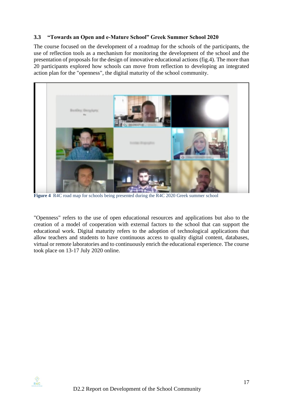#### <span id="page-16-0"></span>**3.3 "Towards an Open and e-Mature School" Greek Summer School 2020**

The course focused on the development of a roadmap for the schools of the participants, the use of reflection tools as a mechanism for monitoring the development of the school and the presentation of proposals for the design of innovative educational actions (fig.4). The more than 20 participants explored how schools can move from reflection to developing an integrated action plan for the "openness", the digital maturity of the school community.



**Figure 4** R4C road map for schools being presented during the R4C 2020 Greek summer school

<span id="page-16-1"></span>"Openness" refers to the use of open educational resources and applications but also to the creation of a model of cooperation with external factors to the school that can support the educational work. Digital maturity refers to the adoption of technological applications that allow teachers and students to have continuous access to quality digital content, databases, virtual or remote laboratories and to continuously enrich the educational experience. The course took place on 13-17 July 2020 online.

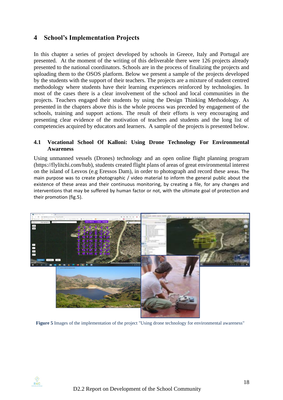### <span id="page-17-0"></span>**4 School's Implementation Projects**

In this chapter a series of project developed by schools in Greece, Italy and Portugal are presented. At the moment of the writing of this deliverable there were 126 projects already presented to the national coordinators. Schools are in the process of finalizing the projects and uploading them to the OSOS platform. Below we present a sample of the projects developed by the students with the support of their teachers. The projects are a mixture of student centred methodology where students have their learning experiences reinforced by technologies. In most of the cases there is a clear involvement of the school and local communities in the projects. Teachers engaged their students by using the Design Thinking Methodology. As presented in the chapters above this is the whole process was preceded by engagement of the schools, training and support actions. The result of their efforts is very encouraging and presenting clear evidence of the motivation of teachers and students and the long list of competencies acquired by educators and learners. A sample of the projects is presented below.

#### <span id="page-17-1"></span>**4.1 Vocational School Of Kalloni: Using Drone Technology For Environmental Awareness**

Using unmanned vessels (Drones) technology and an open online flight planning program (https://flylitchi.com/hub), students created flight plans of areas of great environmental interest on the island of Lesvos (e.g Eressos Dam), in order to photograph and record these areas. The main purpose was to create photographic / video material to inform the general public about the existence of these areas and their continuous monitoring, by creating a file, for any changes and interventions that may be suffered by human factor or not, with the ultimate goal of protection and their promotion (fig.5).



**Figure 5** Images of the implementation of the project "Using drone technology for environmental awareness"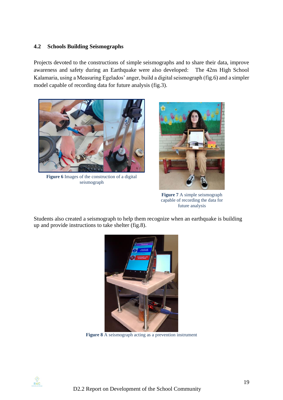#### <span id="page-18-0"></span>**4.2 Schools Building Seismographs**

Projects devoted to the constructions of simple seismographs and to share their data, improve awareness and safety during an Earthquake were also developed: The 42ns High School Kalamaria, using a Measuring Egelados' anger, build a digital seismograph (fig.6) and a simpler model capable of recording data for future analysis (fig.3).



**Figure 6** Images of the construction of a digital seismograph



**Figure 7** A simple seismograph capable of recording the data for future analysis

Students also created a seismograph to help them recognize when an earthquake is building up and provide instructions to take shelter (fig.8).



**Figure 8** A seismograph acting as a prevention instrument

<span id="page-18-1"></span>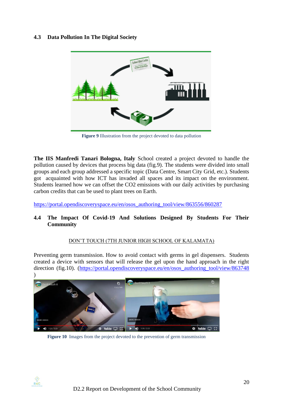#### <span id="page-19-0"></span>**4.3 Data Pollution In The Digital Society**



**Figure 9** Illustration from the project devoted to data pollution

<span id="page-19-2"></span>**The IIS Manfredi Tanari Bologna, Italy** School created a project devoted to handle the pollution caused by devices that process big data (fig.9). The students were divided into small groups and each group addressed a specific topic (Data Centre, Smart City Grid, etc.). Students got acquainted with how ICT has invaded all spaces and its impact on the environment. Students learned how we can offset the CO2 emissions with our daily activities by purchasing carbon credits that can be used to plant trees on Earth.

[https://portal.opendiscoveryspace.eu/en/osos\\_authoring\\_tool/view/863556/860287](https://portal.opendiscoveryspace.eu/en/osos_authoring_tool/view/863556/860287)

#### <span id="page-19-1"></span>**4.4 The Impact Of Covid-19 And Solutions Designed By Students For Their Community**

#### DON'T TOUCH (7TH JUNIOR HIGH SCHOOL OF KALAMATA)

Preventing germ transmission. How to avoid contact with germs in gel dispensers. Students created a device with sensors that will release the gel upon the hand approach in the right direction (fig.10). [\(https://portal.opendiscoveryspace.eu/en/osos\\_authoring\\_tool/view/863748](https://portal.opendiscoveryspace.eu/en/osos_authoring_tool/view/863748)



**Figure 10** Images from the project devoted to the prevention of germ transmission

 $R4C$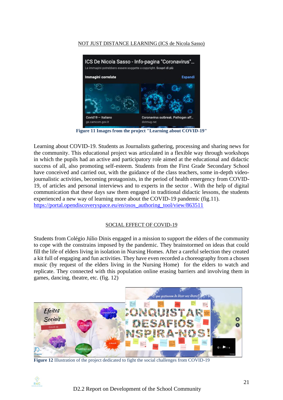#### NOT JUST DISTANCE LEARNING (ICS de Nicola Sasso)



**Figure 11 Images from the project "Learning about COVID-19"**

<span id="page-20-0"></span>Learning about COVID-19. Students as Journalists gathering, processing and sharing news for the community. This educational project was articulated in a flexible way through workshops in which the pupils had an active and participatory role aimed at the educational and didactic success of all, also promoting self-esteem. Students from the First Grade Secondary School have conceived and carried out, with the guidance of the class teachers, some in-depth videojournalistic activities, becoming protagonists, in the period of health emergency from COVID-19, of articles and personal interviews and to experts in the sector . With the help of digital communication that these days saw them engaged in traditional didactic lessons, the students experienced a new way of learning more about the COVID-19 pandemic (fig.11). [https://portal.opendiscoveryspace.eu/en/osos\\_authoring\\_tool/view/863511](https://portal.opendiscoveryspace.eu/en/osos_authoring_tool/view/863511)

#### SOCIAL EFFECT OF COVID-19

Students from Colégio Júlio Dinis engaged in a mission to support the elders of the community to cope with the constrains imposed by the pandemic. They brainstormed on ideas that could fill the life of elders living in isolation in Nursing Homes. After a careful selection they created a kit full of engaging and fun activities. They have even recorded a choreography from a chosen music (by request of the elders living in the Nursing Home) for the elders to watch and replicate. They connected with this population online erasing barriers and involving them in games, dancing, theatre, etc. (fig. 12)



**Figure 12** Illustration of the project dedicated to fight the social challenges from COVID-19

<span id="page-20-1"></span> $R\overset{\circ}{4}C$ 

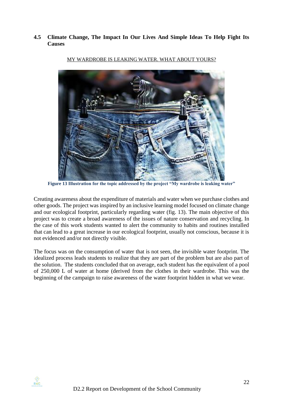<span id="page-21-0"></span>**4.5 Climate Change, The Impact In Our Lives And Simple Ideas To Help Fight Its Causes**



#### MY WARDROBE IS LEAKING WATER. WHAT ABOUT YOURS?

<span id="page-21-1"></span>**Figure 13 Illustration for the topic addressed by the project "My wardrobe is leaking water"**

Creating awareness about the expenditure of materials and water when we purchase clothes and other goods. The project was inspired by an inclusive learning model focused on climate change and our ecological footprint, particularly regarding water (fig. 13). The main objective of this project was to create a broad awareness of the issues of nature conservation and recycling. In the case of this work students wanted to alert the community to habits and routines installed that can lead to a great increase in our ecological footprint, usually not conscious, because it is not evidenced and/or not directly visible.

The focus was on the consumption of water that is not seen, the invisible water footprint. The idealized process leads students to realize that they are part of the problem but are also part of the solution. The students concluded that on average, each student has the equivalent of a pool of 250,000 L of water at home (derived from the clothes in their wardrobe. This was the beginning of the campaign to raise awareness of the water footprint hidden in what we wear.